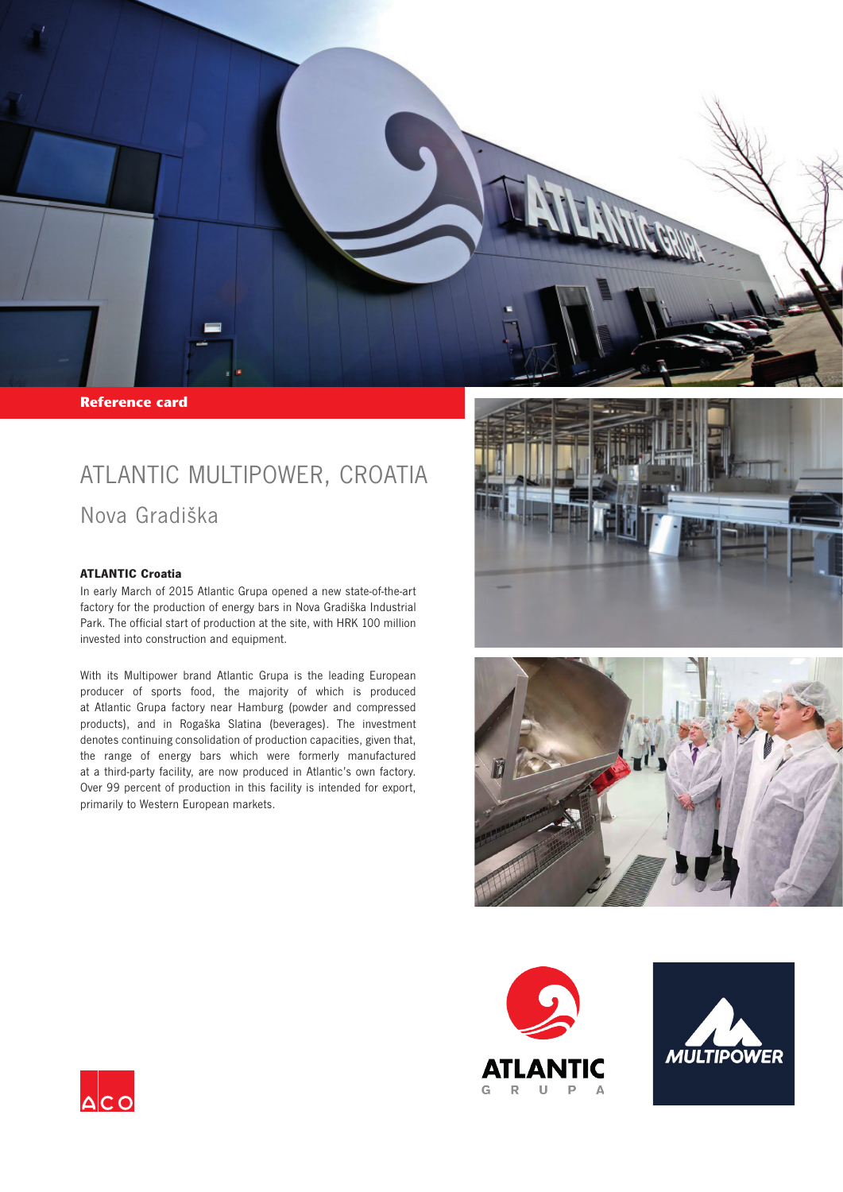

**Reference card** 

## ATLANTIC MULTIPOWER, CROATIA

Nova Gradiška

## **ATLANTIC Croatia**

In early March of 2015 Atlantic Grupa opened a new state-of-the-art factory for the production of energy bars in Nova Gradiška Industrial Park. The official start of production at the site, with HRK 100 million invested into construction and equipment.

With its Multipower brand Atlantic Grupa is the leading European producer of sports food, the majority of which is produced at Atlantic Grupa factory near Hamburg (powder and compressed products), and in Rogaška Slatina (beverages). The investment denotes continuing consolidation of production capacities, given that, the range of energy bars which were formerly manufactured at a third-party facility, are now produced in Atlantic's own factory. Over 99 percent of production in this facility is intended for export, primarily to Western European markets.